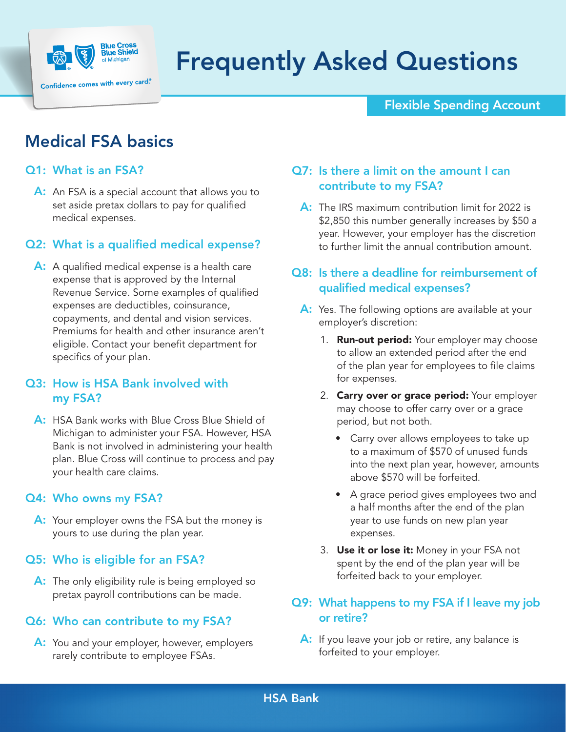

# Frequently Asked Questions

Flexible Spending Account

# Medical FSA basics

## Q1: What is an FSA?

A: An FSA is a special account that allows you to set aside pretax dollars to pay for qualified medical expenses.

### Q2: What is a qualified medical expense?

A: A qualified medical expense is a health care expense that is approved by the Internal Revenue Service. Some examples of qualified expenses are deductibles, coinsurance, copayments, and dental and vision services. Premiums for health and other insurance aren't eligible. Contact your benefit department for specifics of your plan.

### Q3: How is HSA Bank involved with my FSA?

A: HSA Bank works with Blue Cross Blue Shield of Michigan to administer your FSA. However, HSA Bank is not involved in administering your health plan. Blue Cross will continue to process and pay your health care claims.

#### Q4: Who owns my FSA?

A: Your employer owns the FSA but the money is yours to use during the plan year.

### Q5: Who is eligible for an FSA?

A: The only eligibility rule is being employed so pretax payroll contributions can be made.

### Q6: Who can contribute to my FSA?

A: You and your employer, however, employers rarely contribute to employee FSAs.

## Q7: Is there a limit on the amount I can contribute to my FSA?

A: The IRS maximum contribution limit for 2022 is \$2,850 this number generally increases by \$50 a year. However, your employer has the discretion to further limit the annual contribution amount.

### Q8: Is there a deadline for reimbursement of qualified medical expenses?

- A: Yes. The following options are available at your employer's discretion:
	- 1. **Run-out period:** Your employer may choose to allow an extended period after the end of the plan year for employees to file claims for expenses.
	- 2. Carry over or grace period: Your employer may choose to offer carry over or a grace period, but not both.
		- Carry over allows employees to take up to a maximum of \$570 of unused funds into the next plan year, however, amounts above \$570 will be forfeited.
		- A grace period gives employees two and a half months after the end of the plan year to use funds on new plan year expenses.
	- 3. Use it or lose it: Money in your FSA not spent by the end of the plan year will be forfeited back to your employer.

### Q9: What happens to my FSA if I leave my job or retire?

A: If you leave your job or retire, any balance is forfeited to your employer.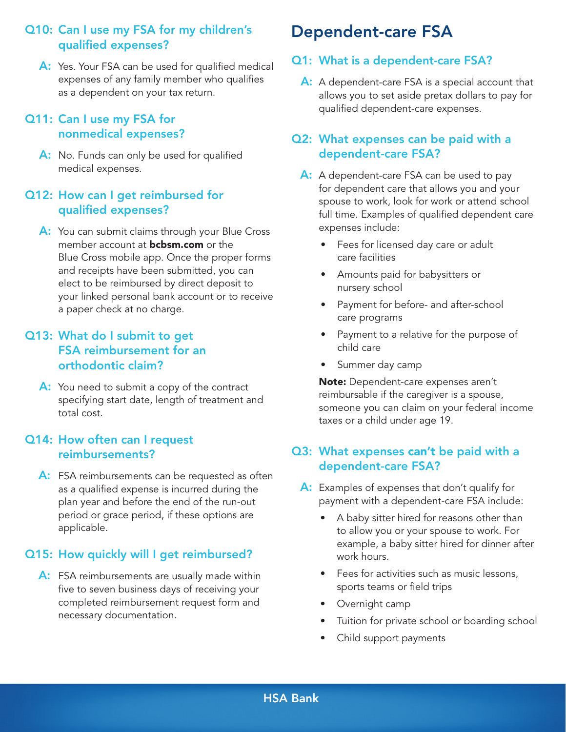## Q10: Can I use my FSA for my children's qualified expenses?

A: Yes. Your FSA can be used for qualified medical expenses of any family member who qualifies as a dependent on your tax return.

### Q11: Can I use my FSA for nonmedical expenses?

A: No. Funds can only be used for qualified medical expenses.

# Q12: How can I get reimbursed for qualified expenses?

A: You can submit claims through your Blue Cross member account at **[bcbsm.com](http://bcbsm.com)** or the Blue Cross mobile app. Once the proper forms and receipts have been submitted, you can elect to be reimbursed by direct deposit to your linked personal bank account or to receive a paper check at no charge.

## Q13: What do I submit to get FSA reimbursement for an orthodontic claim?

A: You need to submit a copy of the contract specifying start date, length of treatment and total cost.

### Q14: How often can I request reimbursements?

A: FSA reimbursements can be requested as often as a qualified expense is incurred during the plan year and before the end of the run-out period or grace period, if these options are applicable.

# Q15: How quickly will I get reimbursed?

A: FSA reimbursements are usually made within five to seven business days of receiving your completed reimbursement request form and necessary documentation.

# Dependent-care FSA

### Q1: What is a dependent-care FSA?

A: A dependent-care FSA is a special account that allows you to set aside pretax dollars to pay for qualified dependent-care expenses.

### Q2: What expenses can be paid with a dependent-care FSA?

- A: A dependent-care FSA can be used to pay for dependent care that allows you and your spouse to work, look for work or attend school full time. Examples of qualified dependent care expenses include:
	- Fees for licensed day care or adult care facilities
	- Amounts paid for babysitters or nursery school
	- Payment for before- and after-school care programs
	- Payment to a relative for the purpose of child care
	- Summer day camp

Note: Dependent-care expenses aren't reimbursable if the caregiver is a spouse, someone you can claim on your federal income taxes or a child under age 19.

# Q3: What expenses can't be paid with a dependent-care FSA?

- A: Examples of expenses that don't qualify for payment with a dependent-care FSA include:
	- A baby sitter hired for reasons other than to allow you or your spouse to work. For example, a baby sitter hired for dinner after work hours.
	- Fees for activities such as music lessons, sports teams or field trips
	- Overnight camp
	- Tuition for private school or boarding school
	- Child support payments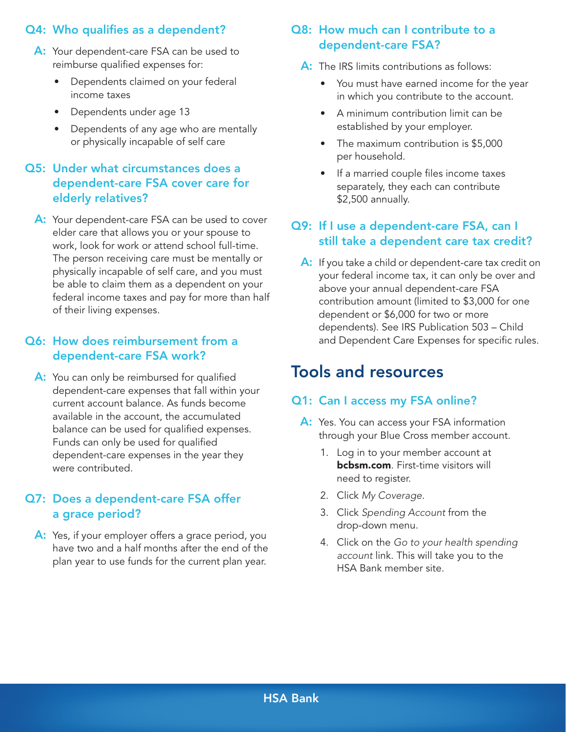# Q4: Who qualifies as a dependent?

- A: Your dependent-care FSA can be used to reimburse qualified expenses for:
	- Dependents claimed on your federal income taxes
	- Dependents under age 13
	- Dependents of any age who are mentally or physically incapable of self care

### Q5: Under what circumstances does a dependent-care FSA cover care for elderly relatives?

A: Your dependent-care FSA can be used to cover elder care that allows you or your spouse to work, look for work or attend school full-time. The person receiving care must be mentally or physically incapable of self care, and you must be able to claim them as a dependent on your federal income taxes and pay for more than half of their living expenses.

### Q6: How does reimbursement from a dependent-care FSA work?

A: You can only be reimbursed for qualified dependent-care expenses that fall within your current account balance. As funds become available in the account, the accumulated balance can be used for qualified expenses. Funds can only be used for qualified dependent-care expenses in the year they were contributed.

### Q7: Does a dependent-care FSA offer a grace period?

A: Yes, if your employer offers a grace period, you have two and a half months after the end of the plan year to use funds for the current plan year.

# Q8: How much can I contribute to a dependent-care FSA?

- A: The IRS limits contributions as follows:
	- You must have earned income for the year in which you contribute to the account.
	- A minimum contribution limit can be established by your employer.
	- The maximum contribution is \$5,000 per household.
	- If a married couple files income taxes separately, they each can contribute \$2,500 annually.

# Q9: If I use a dependent-care FSA, can I still take a dependent care tax credit?

A: If you take a child or dependent-care tax credit on your federal income tax, it can only be over and above your annual dependent-care FSA contribution amount (limited to \$3,000 for one dependent or \$6,000 for two or more dependents). See IRS Publication 503 – Child and Dependent Care Expenses for specific rules.

# Tools and resources

#### Q1: Can I access my FSA online?

- A: Yes. You can access your FSA information through your Blue Cross member account.
	- 1. Log in to your member account at **[bcbsm.com](http://bcbsm.com)**. First-time visitors will need to register.
	- 2. Click *My Coverage*.
	- 3. Click *Spending Account* from the drop-down menu.
	- 4. Click on the *Go to your health spending account* link. This will take you to the HSA Bank member site.